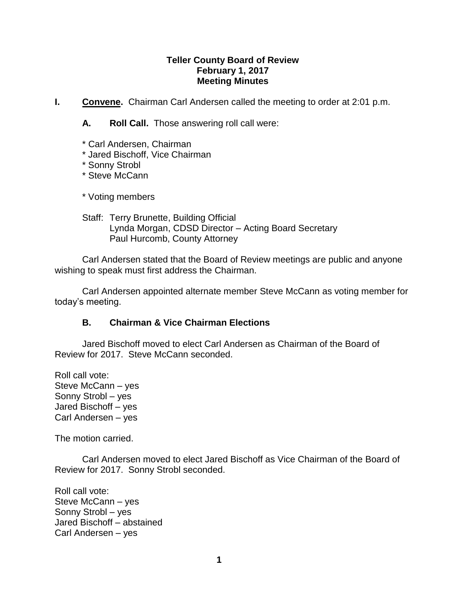#### **Teller County Board of Review February 1, 2017 Meeting Minutes**

**I. Convene.** Chairman Carl Andersen called the meeting to order at 2:01 p.m.

**A. Roll Call.** Those answering roll call were:

- \* Carl Andersen, Chairman
- \* Jared Bischoff, Vice Chairman
- \* Sonny Strobl
- \* Steve McCann

\* Voting members

Staff: Terry Brunette, Building Official Lynda Morgan, CDSD Director – Acting Board Secretary Paul Hurcomb, County Attorney

Carl Andersen stated that the Board of Review meetings are public and anyone wishing to speak must first address the Chairman.

Carl Andersen appointed alternate member Steve McCann as voting member for today's meeting.

## **B. Chairman & Vice Chairman Elections**

Jared Bischoff moved to elect Carl Andersen as Chairman of the Board of Review for 2017. Steve McCann seconded.

Roll call vote: Steve McCann – yes Sonny Strobl – yes Jared Bischoff – yes Carl Andersen – yes

The motion carried.

Carl Andersen moved to elect Jared Bischoff as Vice Chairman of the Board of Review for 2017. Sonny Strobl seconded.

Roll call vote: Steve McCann – yes Sonny Strobl – yes Jared Bischoff – abstained Carl Andersen – yes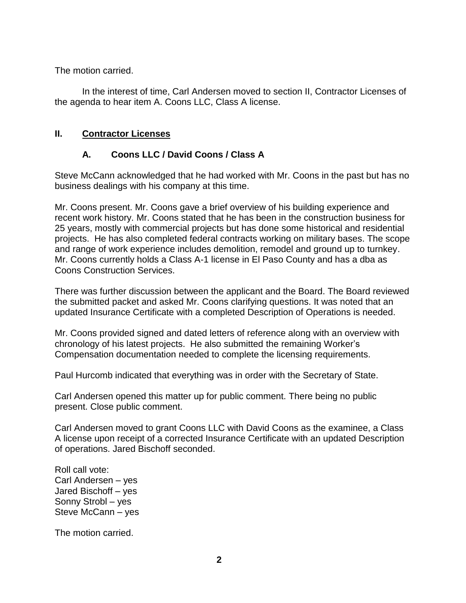The motion carried.

In the interest of time, Carl Andersen moved to section II, Contractor Licenses of the agenda to hear item A. Coons LLC, Class A license.

## **II. Contractor Licenses**

## **A. Coons LLC / David Coons / Class A**

Steve McCann acknowledged that he had worked with Mr. Coons in the past but has no business dealings with his company at this time.

Mr. Coons present. Mr. Coons gave a brief overview of his building experience and recent work history. Mr. Coons stated that he has been in the construction business for 25 years, mostly with commercial projects but has done some historical and residential projects. He has also completed federal contracts working on military bases. The scope and range of work experience includes demolition, remodel and ground up to turnkey. Mr. Coons currently holds a Class A-1 license in El Paso County and has a dba as Coons Construction Services.

There was further discussion between the applicant and the Board. The Board reviewed the submitted packet and asked Mr. Coons clarifying questions. It was noted that an updated Insurance Certificate with a completed Description of Operations is needed.

Mr. Coons provided signed and dated letters of reference along with an overview with chronology of his latest projects. He also submitted the remaining Worker's Compensation documentation needed to complete the licensing requirements.

Paul Hurcomb indicated that everything was in order with the Secretary of State.

Carl Andersen opened this matter up for public comment. There being no public present. Close public comment.

Carl Andersen moved to grant Coons LLC with David Coons as the examinee, a Class A license upon receipt of a corrected Insurance Certificate with an updated Description of operations. Jared Bischoff seconded.

Roll call vote: Carl Andersen – yes Jared Bischoff – yes Sonny Strobl – yes Steve McCann – yes

The motion carried.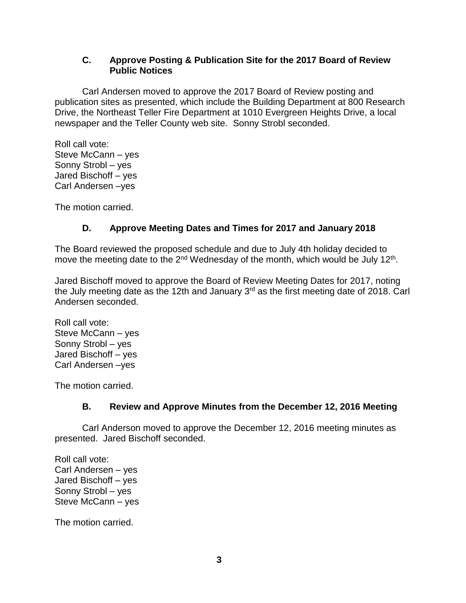### **C. Approve Posting & Publication Site for the 2017 Board of Review Public Notices**

Carl Andersen moved to approve the 2017 Board of Review posting and publication sites as presented, which include the Building Department at 800 Research Drive, the Northeast Teller Fire Department at 1010 Evergreen Heights Drive, a local newspaper and the Teller County web site. Sonny Strobl seconded.

Roll call vote: Steve McCann – yes Sonny Strobl – yes Jared Bischoff – yes Carl Andersen –yes

The motion carried.

# **D. Approve Meeting Dates and Times for 2017 and January 2018**

The Board reviewed the proposed schedule and due to July 4th holiday decided to move the meeting date to the 2<sup>nd</sup> Wednesday of the month, which would be July 12<sup>th</sup>.

Jared Bischoff moved to approve the Board of Review Meeting Dates for 2017, noting the July meeting date as the 12th and January 3<sup>rd</sup> as the first meeting date of 2018. Carl Andersen seconded.

Roll call vote: Steve McCann – yes Sonny Strobl – yes Jared Bischoff – yes Carl Andersen –yes

The motion carried.

# **B. Review and Approve Minutes from the December 12, 2016 Meeting**

Carl Anderson moved to approve the December 12, 2016 meeting minutes as presented. Jared Bischoff seconded.

Roll call vote: Carl Andersen – yes Jared Bischoff – yes Sonny Strobl – yes Steve McCann – yes

The motion carried.